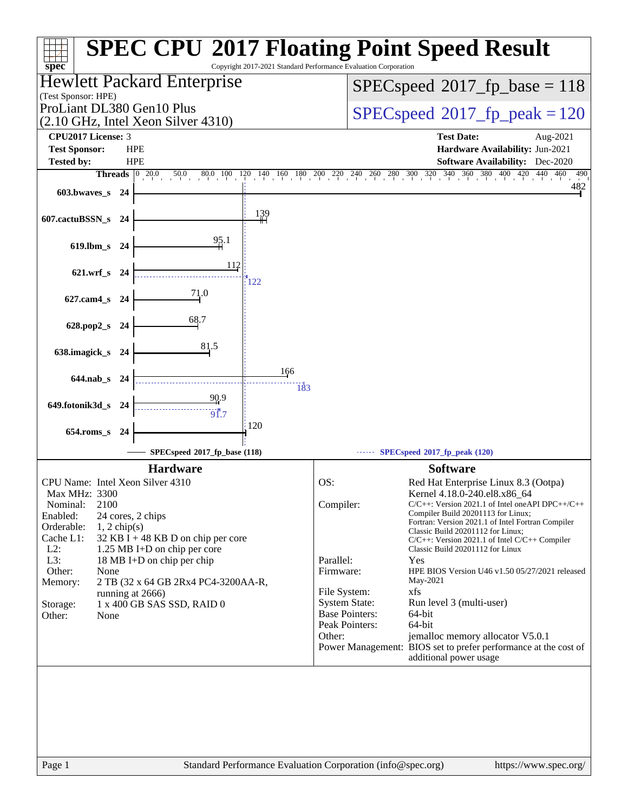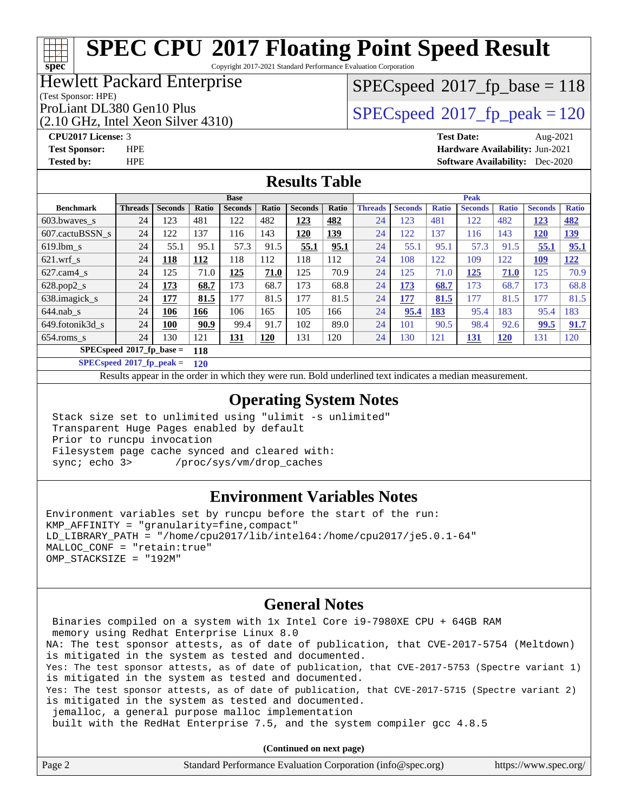Copyright 2017-2021 Standard Performance Evaluation Corporation

#### Hewlett Packard Enterprise

#### (Test Sponsor: HPE)

(2.10 GHz, Intel Xeon Silver 4310)

 $SPEC speed^{\circ}2017\_fp\_base = 118$ 

## ProLiant DL380 Gen10 Plus  $\begin{array}{|l|}\n\hline\n\text{SPEC speed} \text{°2017}\n\hline\n\text{p peak} = 120\n\hline\n\end{array}$

**[spec](http://www.spec.org/)**

**[CPU2017 License:](http://www.spec.org/auto/cpu2017/Docs/result-fields.html#CPU2017License)** 3 **[Test Date:](http://www.spec.org/auto/cpu2017/Docs/result-fields.html#TestDate)** Aug-2021 **[Test Sponsor:](http://www.spec.org/auto/cpu2017/Docs/result-fields.html#TestSponsor)** HPE **[Hardware Availability:](http://www.spec.org/auto/cpu2017/Docs/result-fields.html#HardwareAvailability)** Jun-2021 **[Tested by:](http://www.spec.org/auto/cpu2017/Docs/result-fields.html#Testedby)** HPE **[Software Availability:](http://www.spec.org/auto/cpu2017/Docs/result-fields.html#SoftwareAvailability)** Dec-2020

#### **[Results Table](http://www.spec.org/auto/cpu2017/Docs/result-fields.html#ResultsTable)**

|                                    | <b>Base</b>    |                |              |                |              | <b>Peak</b>    |            |                |                |              |                |              |                |              |
|------------------------------------|----------------|----------------|--------------|----------------|--------------|----------------|------------|----------------|----------------|--------------|----------------|--------------|----------------|--------------|
| <b>Benchmark</b>                   | <b>Threads</b> | <b>Seconds</b> | <b>Ratio</b> | <b>Seconds</b> | <b>Ratio</b> | <b>Seconds</b> | Ratio      | <b>Threads</b> | <b>Seconds</b> | <b>Ratio</b> | <b>Seconds</b> | <b>Ratio</b> | <b>Seconds</b> | <b>Ratio</b> |
| $603.bwaves$ s                     | 24             | 123            | 481          | 122            | 482          | <u>123</u>     | 482        | 24             | 123            | 481          | 122            | 482          | 123            | <u>482</u>   |
| 607.cactuBSSN s                    | 24             | 122            | 137          | 116            | 143          | <u>120</u>     | <b>139</b> | 24             | 122            | 137          | 116            | 143          | <u>120</u>     | <u>139</u>   |
| $619.1$ bm s                       | 24             | 55.1           | 95.1         | 57.3           | 91.5         | 55.1           | 95.1       | 24             | 55.1           | 95.1         | 57.3           | 91.5         | 55.1           | 95.1         |
| $621$ .wrf s                       | 24             | 118            | 112          | 118            | 112          | 118            | 112        | 24             | 108            | 122          | 109            | 122          | <u>109</u>     | 122          |
| $627$ .cam $4 \text{ s}$           | 24             | 125            | 71.0         | 125            | 71.0         | 125            | 70.9       | 24             | 125            | 71.0         | 125            | 71.0         | 125            | 70.9         |
| $628.pop2_s$                       | 24             | 173            | 68.7         | 173            | 68.7         | 173            | 68.8       | 24             | 173            | 68.7         | 173            | 68.7         | 173            | 68.8         |
| 638.imagick_s                      | 24             | 177            | 81.5         | 177            | 81.5         | 177            | 81.5       | 24             | 177            | 81.5         | 177            | 81.5         | 177            | 81.5         |
| $644$ .nab s                       | 24             | 106            | 166          | 106            | 165          | 105            | 166        | 24             | 95.4           | 183          | 95.4           | 183          | 95.4           | 183          |
| 649.fotonik3d s                    | 24             | 100            | 90.9         | 99.4           | 91.7         | 102            | 89.0       | 24             | 101            | 90.5         | 98.4           | 92.6         | 99.5           | 91.7         |
| $654$ .roms s                      | 24             | 130            | 121          | <u>131</u>     | <b>120</b>   | 131            | 120        | 24             | 130            | 121          | <u>131</u>     | <u>120</u>   | 131            | 120          |
| $SPECspeed^*2017$ fp base =<br>118 |                |                |              |                |              |                |            |                |                |              |                |              |                |              |

**[SPECspeed](http://www.spec.org/auto/cpu2017/Docs/result-fields.html#SPECspeed2017fppeak)[2017\\_fp\\_peak =](http://www.spec.org/auto/cpu2017/Docs/result-fields.html#SPECspeed2017fppeak) 120**

Results appear in the [order in which they were run.](http://www.spec.org/auto/cpu2017/Docs/result-fields.html#RunOrder) Bold underlined text [indicates a median measurement](http://www.spec.org/auto/cpu2017/Docs/result-fields.html#Median).

#### **[Operating System Notes](http://www.spec.org/auto/cpu2017/Docs/result-fields.html#OperatingSystemNotes)**

 Stack size set to unlimited using "ulimit -s unlimited" Transparent Huge Pages enabled by default Prior to runcpu invocation Filesystem page cache synced and cleared with: sync; echo 3> /proc/sys/vm/drop\_caches

#### **[Environment Variables Notes](http://www.spec.org/auto/cpu2017/Docs/result-fields.html#EnvironmentVariablesNotes)**

Environment variables set by runcpu before the start of the run: KMP\_AFFINITY = "granularity=fine,compact" LD\_LIBRARY\_PATH = "/home/cpu2017/lib/intel64:/home/cpu2017/je5.0.1-64" MALLOC\_CONF = "retain:true" OMP\_STACKSIZE = "192M"

#### **[General Notes](http://www.spec.org/auto/cpu2017/Docs/result-fields.html#GeneralNotes)**

 Binaries compiled on a system with 1x Intel Core i9-7980XE CPU + 64GB RAM memory using Redhat Enterprise Linux 8.0 NA: The test sponsor attests, as of date of publication, that CVE-2017-5754 (Meltdown) is mitigated in the system as tested and documented. Yes: The test sponsor attests, as of date of publication, that CVE-2017-5753 (Spectre variant 1) is mitigated in the system as tested and documented. Yes: The test sponsor attests, as of date of publication, that CVE-2017-5715 (Spectre variant 2) is mitigated in the system as tested and documented. jemalloc, a general purpose malloc implementation built with the RedHat Enterprise 7.5, and the system compiler gcc 4.8.5

**(Continued on next page)**

| Page 2 | Standard Performance Evaluation Corporation (info@spec.org) | https://www.spec.org/ |
|--------|-------------------------------------------------------------|-----------------------|
|        |                                                             |                       |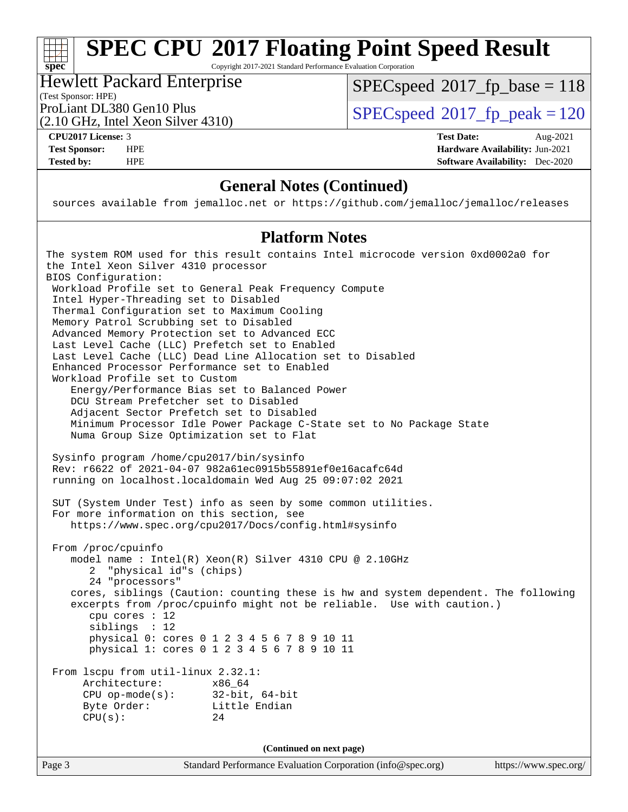Copyright 2017-2021 Standard Performance Evaluation Corporation

## Hewlett Packard Enterprise

[SPECspeed](http://www.spec.org/auto/cpu2017/Docs/result-fields.html#SPECspeed2017fpbase)<sup>®</sup>2017 fp base = 118

(Test Sponsor: HPE)

(2.10 GHz, Intel Xeon Silver 4310)

ProLiant DL380 Gen10 Plus  $SPEC speed@2017$  fp\_peak = 120

**[spec](http://www.spec.org/)**

**[CPU2017 License:](http://www.spec.org/auto/cpu2017/Docs/result-fields.html#CPU2017License)** 3 **[Test Date:](http://www.spec.org/auto/cpu2017/Docs/result-fields.html#TestDate)** Aug-2021 **[Test Sponsor:](http://www.spec.org/auto/cpu2017/Docs/result-fields.html#TestSponsor)** HPE **[Hardware Availability:](http://www.spec.org/auto/cpu2017/Docs/result-fields.html#HardwareAvailability)** Jun-2021 **[Tested by:](http://www.spec.org/auto/cpu2017/Docs/result-fields.html#Testedby)** HPE **[Software Availability:](http://www.spec.org/auto/cpu2017/Docs/result-fields.html#SoftwareAvailability)** Dec-2020

### **[General Notes \(Continued\)](http://www.spec.org/auto/cpu2017/Docs/result-fields.html#GeneralNotes)**

sources available from jemalloc.net or <https://github.com/jemalloc/jemalloc/releases>

#### **[Platform Notes](http://www.spec.org/auto/cpu2017/Docs/result-fields.html#PlatformNotes)**

Page 3 Standard Performance Evaluation Corporation [\(info@spec.org\)](mailto:info@spec.org) <https://www.spec.org/> The system ROM used for this result contains Intel microcode version 0xd0002a0 for the Intel Xeon Silver 4310 processor BIOS Configuration: Workload Profile set to General Peak Frequency Compute Intel Hyper-Threading set to Disabled Thermal Configuration set to Maximum Cooling Memory Patrol Scrubbing set to Disabled Advanced Memory Protection set to Advanced ECC Last Level Cache (LLC) Prefetch set to Enabled Last Level Cache (LLC) Dead Line Allocation set to Disabled Enhanced Processor Performance set to Enabled Workload Profile set to Custom Energy/Performance Bias set to Balanced Power DCU Stream Prefetcher set to Disabled Adjacent Sector Prefetch set to Disabled Minimum Processor Idle Power Package C-State set to No Package State Numa Group Size Optimization set to Flat Sysinfo program /home/cpu2017/bin/sysinfo Rev: r6622 of 2021-04-07 982a61ec0915b55891ef0e16acafc64d running on localhost.localdomain Wed Aug 25 09:07:02 2021 SUT (System Under Test) info as seen by some common utilities. For more information on this section, see <https://www.spec.org/cpu2017/Docs/config.html#sysinfo> From /proc/cpuinfo model name : Intel(R) Xeon(R) Silver 4310 CPU @ 2.10GHz 2 "physical id"s (chips) 24 "processors" cores, siblings (Caution: counting these is hw and system dependent. The following excerpts from /proc/cpuinfo might not be reliable. Use with caution.) cpu cores : 12 siblings : 12 physical 0: cores 0 1 2 3 4 5 6 7 8 9 10 11 physical 1: cores 0 1 2 3 4 5 6 7 8 9 10 11 From lscpu from util-linux 2.32.1: Architecture: x86\_64 CPU op-mode(s): 32-bit, 64-bit Byte Order: Little Endian  $CPU(s):$  24 **(Continued on next page)**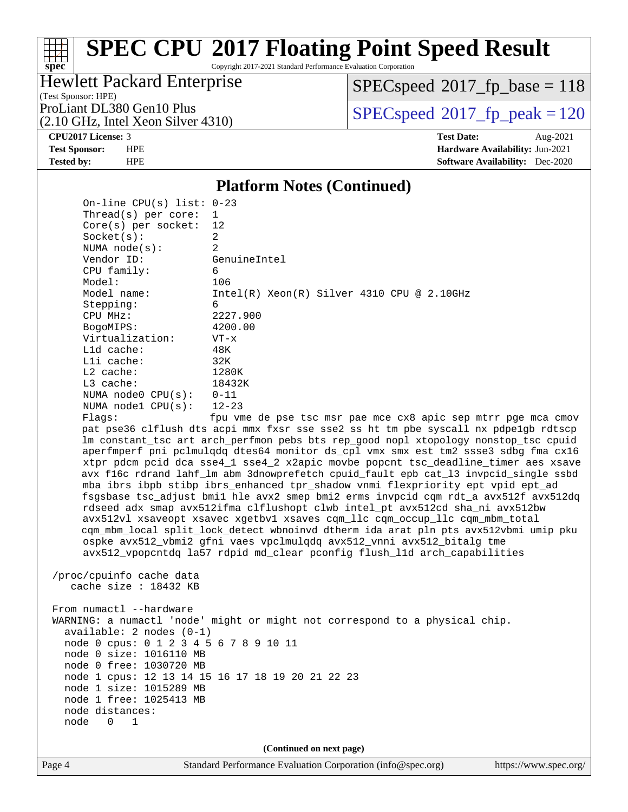Copyright 2017-2021 Standard Performance Evaluation Corporation

## Hewlett Packard Enterprise

[SPECspeed](http://www.spec.org/auto/cpu2017/Docs/result-fields.html#SPECspeed2017fpbase)<sup>®</sup>2017 fp base = 118

(Test Sponsor: HPE) (2.10 GHz, Intel Xeon Silver 4310)

ProLiant DL380 Gen10 Plus  $\vert$  [SPECspeed](http://www.spec.org/auto/cpu2017/Docs/result-fields.html#SPECspeed2017fppeak)®2017 fp\_peak = 120

**[spec](http://www.spec.org/)**

**[CPU2017 License:](http://www.spec.org/auto/cpu2017/Docs/result-fields.html#CPU2017License)** 3 **[Test Date:](http://www.spec.org/auto/cpu2017/Docs/result-fields.html#TestDate)** Aug-2021 **[Test Sponsor:](http://www.spec.org/auto/cpu2017/Docs/result-fields.html#TestSponsor)** HPE **[Hardware Availability:](http://www.spec.org/auto/cpu2017/Docs/result-fields.html#HardwareAvailability)** Jun-2021 **[Tested by:](http://www.spec.org/auto/cpu2017/Docs/result-fields.html#Testedby)** HPE **[Software Availability:](http://www.spec.org/auto/cpu2017/Docs/result-fields.html#SoftwareAvailability)** Dec-2020

#### **[Platform Notes \(Continued\)](http://www.spec.org/auto/cpu2017/Docs/result-fields.html#PlatformNotes)**

 On-line CPU(s) list: 0-23 Thread(s) per core: 1 Core(s) per socket: 12 Socket(s): 2 NUMA node(s): 2 Vendor ID: GenuineIntel CPU family: 6 Model: 106 Model name: Intel(R) Xeon(R) Silver 4310 CPU @ 2.10GHz Stepping: 6 CPU MHz: 2227.900 BogoMIPS: 4200.00 Virtualization: VT-x L1d cache: 48K L1i cache: 32K L2 cache: 1280K L3 cache: 18432K NUMA node0 CPU(s): 0-11 NUMA node1 CPU(s): 12-23 Flags: fpu vme de pse tsc msr pae mce cx8 apic sep mtrr pge mca cmov

 pat pse36 clflush dts acpi mmx fxsr sse sse2 ss ht tm pbe syscall nx pdpe1gb rdtscp lm constant\_tsc art arch\_perfmon pebs bts rep\_good nopl xtopology nonstop\_tsc cpuid aperfmperf pni pclmulqdq dtes64 monitor ds\_cpl vmx smx est tm2 ssse3 sdbg fma cx16 xtpr pdcm pcid dca sse4\_1 sse4\_2 x2apic movbe popcnt tsc\_deadline\_timer aes xsave avx f16c rdrand lahf\_lm abm 3dnowprefetch cpuid\_fault epb cat\_l3 invpcid\_single ssbd mba ibrs ibpb stibp ibrs\_enhanced tpr\_shadow vnmi flexpriority ept vpid ept\_ad fsgsbase tsc\_adjust bmi1 hle avx2 smep bmi2 erms invpcid cqm rdt\_a avx512f avx512dq rdseed adx smap avx512ifma clflushopt clwb intel\_pt avx512cd sha\_ni avx512bw avx512vl xsaveopt xsavec xgetbv1 xsaves cqm\_llc cqm\_occup\_llc cqm\_mbm\_total cqm\_mbm\_local split\_lock\_detect wbnoinvd dtherm ida arat pln pts avx512vbmi umip pku ospke avx512\_vbmi2 gfni vaes vpclmulqdq avx512\_vnni avx512\_bitalg tme avx512\_vpopcntdq la57 rdpid md\_clear pconfig flush\_l1d arch\_capabilities

 /proc/cpuinfo cache data cache size : 18432 KB

From numactl --hardware WARNING: a numactl 'node' might or might not correspond to a physical chip. available: 2 nodes (0-1) node 0 cpus: 0 1 2 3 4 5 6 7 8 9 10 11 node 0 size: 1016110 MB node 0 free: 1030720 MB node 1 cpus: 12 13 14 15 16 17 18 19 20 21 22 23 node 1 size: 1015289 MB node 1 free: 1025413 MB node distances: node 0 1

**(Continued on next page)**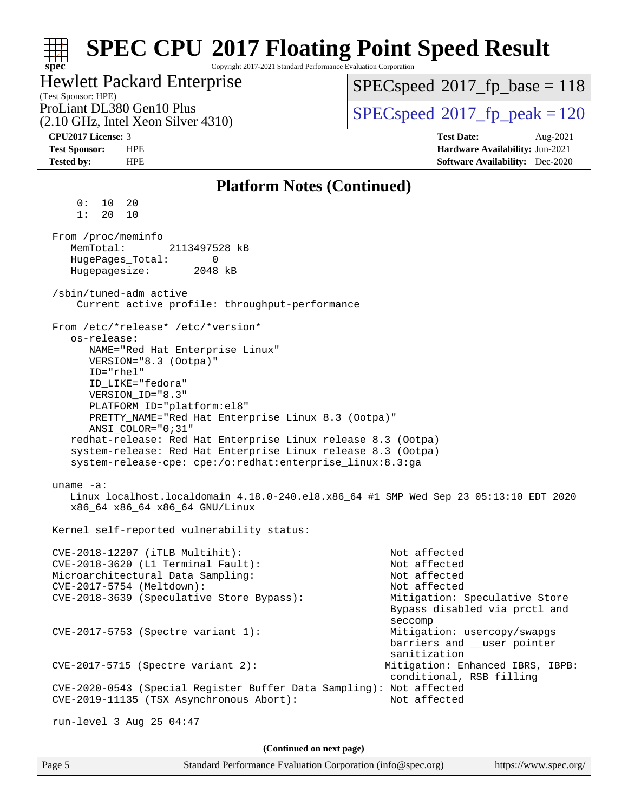#### Page 5 Standard Performance Evaluation Corporation [\(info@spec.org\)](mailto:info@spec.org) <https://www.spec.org/> **[spec](http://www.spec.org/) [SPEC CPU](http://www.spec.org/auto/cpu2017/Docs/result-fields.html#SPECCPU2017FloatingPointSpeedResult)[2017 Floating Point Speed Result](http://www.spec.org/auto/cpu2017/Docs/result-fields.html#SPECCPU2017FloatingPointSpeedResult)** Copyright 2017-2021 Standard Performance Evaluation Corporation (Test Sponsor: HPE) Hewlett Packard Enterprise (2.10 GHz, Intel Xeon Silver 4310) ProLiant DL380 Gen10 Plus  $SPEC speed^{\circ}2017$  fp\_peak = 120 [SPECspeed](http://www.spec.org/auto/cpu2017/Docs/result-fields.html#SPECspeed2017fpbase)<sup>®</sup>2017 fp base = 118 **[CPU2017 License:](http://www.spec.org/auto/cpu2017/Docs/result-fields.html#CPU2017License)** 3 **[Test Date:](http://www.spec.org/auto/cpu2017/Docs/result-fields.html#TestDate)** Aug-2021 **[Test Sponsor:](http://www.spec.org/auto/cpu2017/Docs/result-fields.html#TestSponsor)** HPE **[Hardware Availability:](http://www.spec.org/auto/cpu2017/Docs/result-fields.html#HardwareAvailability)** Jun-2021 **[Tested by:](http://www.spec.org/auto/cpu2017/Docs/result-fields.html#Testedby)** HPE **[Software Availability:](http://www.spec.org/auto/cpu2017/Docs/result-fields.html#SoftwareAvailability)** Dec-2020 **[Platform Notes \(Continued\)](http://www.spec.org/auto/cpu2017/Docs/result-fields.html#PlatformNotes)** 0: 10 20 1: 20 10 From /proc/meminfo MemTotal: 2113497528 kB HugePages\_Total: 0 Hugepagesize: 2048 kB /sbin/tuned-adm active Current active profile: throughput-performance From /etc/\*release\* /etc/\*version\* os-release: NAME="Red Hat Enterprise Linux" VERSION="8.3 (Ootpa)" ID="rhel" ID\_LIKE="fedora" VERSION\_ID="8.3" PLATFORM\_ID="platform:el8" PRETTY\_NAME="Red Hat Enterprise Linux 8.3 (Ootpa)" ANSI\_COLOR="0;31" redhat-release: Red Hat Enterprise Linux release 8.3 (Ootpa) system-release: Red Hat Enterprise Linux release 8.3 (Ootpa) system-release-cpe: cpe:/o:redhat:enterprise\_linux:8.3:ga uname -a: Linux localhost.localdomain 4.18.0-240.el8.x86\_64 #1 SMP Wed Sep 23 05:13:10 EDT 2020 x86\_64 x86\_64 x86\_64 GNU/Linux Kernel self-reported vulnerability status: CVE-2018-12207 (iTLB Multihit): Not affected CVE-2018-3620 (L1 Terminal Fault): Not affected Microarchitectural Data Sampling: Not affected CVE-2017-5754 (Meltdown): Not affected CVE-2018-3639 (Speculative Store Bypass): Mitigation: Speculative Store Bypass disabled via prctl and seccompany and the contract of the contract of the contract of the second seconds of the contract of the contract of the contract of the contract of the contract of the contract of the contract of the contract of the contr CVE-2017-5753 (Spectre variant 1): Mitigation: usercopy/swapgs barriers and \_\_user pointer sanitization CVE-2017-5715 (Spectre variant 2): Mitigation: Enhanced IBRS, IBPB: conditional, RSB filling CVE-2020-0543 (Special Register Buffer Data Sampling): Not affected CVE-2019-11135 (TSX Asynchronous Abort): Not affected run-level 3 Aug 25 04:47 **(Continued on next page)**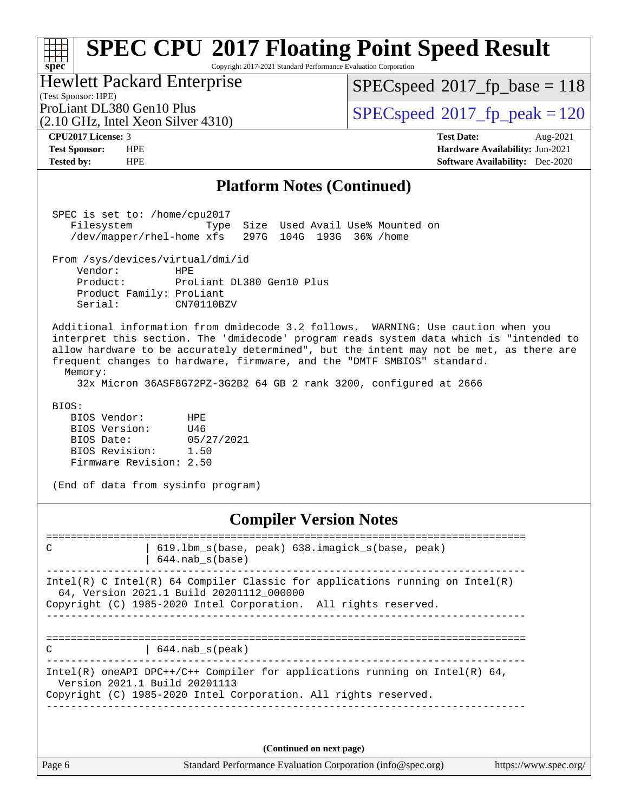#### **[spec](http://www.spec.org/) [SPEC CPU](http://www.spec.org/auto/cpu2017/Docs/result-fields.html#SPECCPU2017FloatingPointSpeedResult)[2017 Floating Point Speed Result](http://www.spec.org/auto/cpu2017/Docs/result-fields.html#SPECCPU2017FloatingPointSpeedResult)** Copyright 2017-2021 Standard Performance Evaluation Corporation

(Test Sponsor: HPE) Hewlett Packard Enterprise

[SPECspeed](http://www.spec.org/auto/cpu2017/Docs/result-fields.html#SPECspeed2017fpbase)<sup>®</sup>2017 fp base = 118

(2.10 GHz, Intel Xeon Silver 4310)

ProLiant DL380 Gen10 Plus  $SPEC speed@2017$  fp\_peak = 120

**[CPU2017 License:](http://www.spec.org/auto/cpu2017/Docs/result-fields.html#CPU2017License)** 3 **[Test Date:](http://www.spec.org/auto/cpu2017/Docs/result-fields.html#TestDate)** Aug-2021 **[Test Sponsor:](http://www.spec.org/auto/cpu2017/Docs/result-fields.html#TestSponsor)** HPE **[Hardware Availability:](http://www.spec.org/auto/cpu2017/Docs/result-fields.html#HardwareAvailability)** Jun-2021 **[Tested by:](http://www.spec.org/auto/cpu2017/Docs/result-fields.html#Testedby)** HPE **[Software Availability:](http://www.spec.org/auto/cpu2017/Docs/result-fields.html#SoftwareAvailability)** Dec-2020

#### **[Platform Notes \(Continued\)](http://www.spec.org/auto/cpu2017/Docs/result-fields.html#PlatformNotes)**

 SPEC is set to: /home/cpu2017 Filesystem Type Size Used Avail Use% Mounted on /dev/mapper/rhel-home xfs 297G 104G 193G 36% /home From /sys/devices/virtual/dmi/id Vendor: HPE Product: ProLiant DL380 Gen10 Plus Product Family: ProLiant<br>Serial: CN70110BZV Serial: Additional information from dmidecode 3.2 follows. WARNING: Use caution when you interpret this section. The 'dmidecode' program reads system data which is "intended to allow hardware to be accurately determined", but the intent may not be met, as there are frequent changes to hardware, firmware, and the "DMTF SMBIOS" standard. Memory: 32x Micron 36ASF8G72PZ-3G2B2 64 GB 2 rank 3200, configured at 2666 BIOS:

 BIOS Vendor: HPE BIOS Version: U46 BIOS Date: 05/27/2021<br>BIOS Revision: 1.50 BIOS Revision: Firmware Revision: 2.50

(End of data from sysinfo program)

### **[Compiler Version Notes](http://www.spec.org/auto/cpu2017/Docs/result-fields.html#CompilerVersionNotes)**

============================================================================== C | 619.1bm\_s(base, peak) 638.imagick\_s(base, peak) | 644.nab\_s(base) ------------------------------------------------------------------------------ Intel(R) C Intel(R) 64 Compiler Classic for applications running on Intel(R) 64, Version 2021.1 Build 20201112\_000000 Copyright (C) 1985-2020 Intel Corporation. All rights reserved. ------------------------------------------------------------------------------ ==============================================================================  $C \qquad \qquad | \quad 644 \text{ .} \text{ nab\_s} \text{ (peak)}$ ------------------------------------------------------------------------------ Intel(R) oneAPI DPC++/C++ Compiler for applications running on Intel(R)  $64$ , Version 2021.1 Build 20201113 Copyright (C) 1985-2020 Intel Corporation. All rights reserved. ------------------------------------------------------------------------------

**(Continued on next page)**

Page 6 Standard Performance Evaluation Corporation [\(info@spec.org\)](mailto:info@spec.org) <https://www.spec.org/>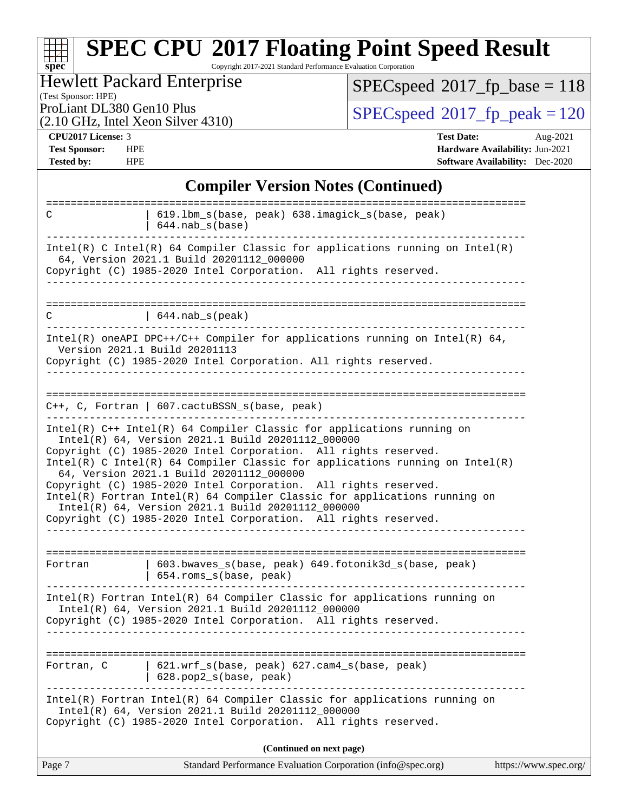#### **[spec](http://www.spec.org/) [SPEC CPU](http://www.spec.org/auto/cpu2017/Docs/result-fields.html#SPECCPU2017FloatingPointSpeedResult)[2017 Floating Point Speed Result](http://www.spec.org/auto/cpu2017/Docs/result-fields.html#SPECCPU2017FloatingPointSpeedResult)** Copyright 2017-2021 Standard Performance Evaluation Corporation

### Hewlett Packard Enterprise

(2.10 GHz, Intel Xeon Silver 4310)

 $SPEC speed$ <sup>®</sup> $2017$ \_fp\_base = 118

(Test Sponsor: HPE)

ProLiant DL380 Gen10 Plus  $\begin{array}{c} \text{SPEC speed} \text{\textdegree}2017 \text{ fp\_peak} = 120 \end{array}$ 

**[CPU2017 License:](http://www.spec.org/auto/cpu2017/Docs/result-fields.html#CPU2017License)** 3 **[Test Date:](http://www.spec.org/auto/cpu2017/Docs/result-fields.html#TestDate)** Aug-2021 **[Test Sponsor:](http://www.spec.org/auto/cpu2017/Docs/result-fields.html#TestSponsor)** HPE **[Hardware Availability:](http://www.spec.org/auto/cpu2017/Docs/result-fields.html#HardwareAvailability)** Jun-2021 **[Tested by:](http://www.spec.org/auto/cpu2017/Docs/result-fields.html#Testedby)** HPE **[Software Availability:](http://www.spec.org/auto/cpu2017/Docs/result-fields.html#SoftwareAvailability)** Dec-2020

#### **[Compiler Version Notes \(Continued\)](http://www.spec.org/auto/cpu2017/Docs/result-fields.html#CompilerVersionNotes)**

| ======================================<br>$C++$ , C, Fortran   607.cactuBSSN_s(base, peak)                                                                                                                                                                                                                                                                                                                                                                                                                                                                                                        |  |
|---------------------------------------------------------------------------------------------------------------------------------------------------------------------------------------------------------------------------------------------------------------------------------------------------------------------------------------------------------------------------------------------------------------------------------------------------------------------------------------------------------------------------------------------------------------------------------------------------|--|
| Intel(R) C++ Intel(R) 64 Compiler Classic for applications running on<br>Intel(R) 64, Version 2021.1 Build 20201112_000000<br>Copyright (C) 1985-2020 Intel Corporation. All rights reserved.<br>Intel(R) C Intel(R) 64 Compiler Classic for applications running on Intel(R)<br>64, Version 2021.1 Build 20201112_000000<br>Copyright (C) 1985-2020 Intel Corporation. All rights reserved.<br>Intel(R) Fortran Intel(R) 64 Compiler Classic for applications running on<br>Intel(R) 64, Version 2021.1 Build 20201112_000000<br>Copyright (C) 1985-2020 Intel Corporation. All rights reserved. |  |
| 603.bwaves_s(base, peak) 649.fotonik3d_s(base, peak)<br>Fortran<br>654.roms_s(base, peak)                                                                                                                                                                                                                                                                                                                                                                                                                                                                                                         |  |
| Intel(R) Fortran Intel(R) 64 Compiler Classic for applications running on<br>Intel(R) 64, Version 2021.1 Build 20201112_000000<br>Copyright (C) 1985-2020 Intel Corporation. All rights reserved.                                                                                                                                                                                                                                                                                                                                                                                                 |  |
| 621.wrf_s(base, peak) 627.cam4_s(base, peak)<br>Fortran, C<br>628.pop2_s(base, peak)                                                                                                                                                                                                                                                                                                                                                                                                                                                                                                              |  |
| Intel(R) Fortran Intel(R) 64 Compiler Classic for applications running on<br>Intel(R) 64, Version 2021.1 Build 20201112_000000<br>Copyright (C) 1985-2020 Intel Corporation. All rights reserved.                                                                                                                                                                                                                                                                                                                                                                                                 |  |
| (Continued on next page)                                                                                                                                                                                                                                                                                                                                                                                                                                                                                                                                                                          |  |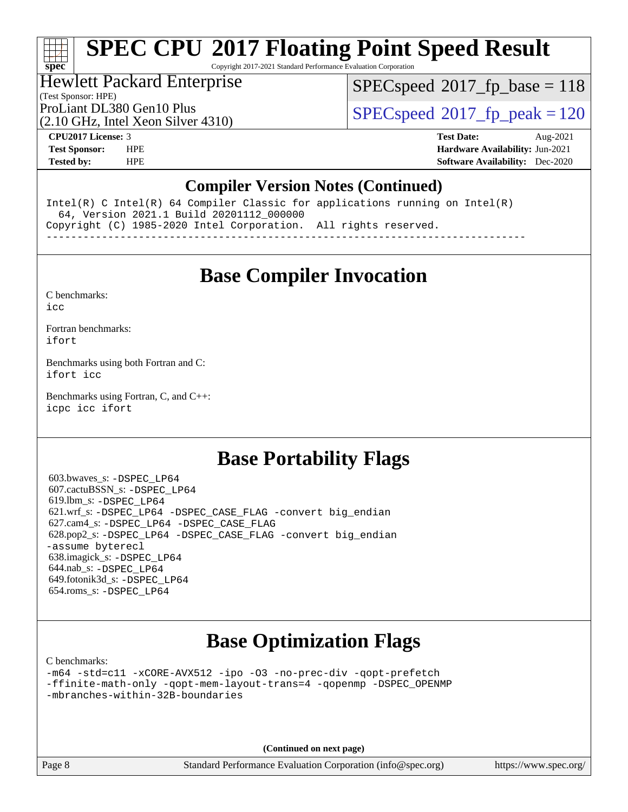Copyright 2017-2021 Standard Performance Evaluation Corporation

## Hewlett Packard Enterprise

[SPECspeed](http://www.spec.org/auto/cpu2017/Docs/result-fields.html#SPECspeed2017fpbase)<sup>®</sup>2017 fp base = 118

(Test Sponsor: HPE)

(2.10 GHz, Intel Xeon Silver 4310)

ProLiant DL380 Gen10 Plus  $SPEC speed@2017$  fp\_peak = 120

**[spec](http://www.spec.org/)**

**[CPU2017 License:](http://www.spec.org/auto/cpu2017/Docs/result-fields.html#CPU2017License)** 3 **[Test Date:](http://www.spec.org/auto/cpu2017/Docs/result-fields.html#TestDate)** Aug-2021 **[Test Sponsor:](http://www.spec.org/auto/cpu2017/Docs/result-fields.html#TestSponsor)** HPE **[Hardware Availability:](http://www.spec.org/auto/cpu2017/Docs/result-fields.html#HardwareAvailability)** Jun-2021 **[Tested by:](http://www.spec.org/auto/cpu2017/Docs/result-fields.html#Testedby)** HPE **[Software Availability:](http://www.spec.org/auto/cpu2017/Docs/result-fields.html#SoftwareAvailability)** Dec-2020

### **[Compiler Version Notes \(Continued\)](http://www.spec.org/auto/cpu2017/Docs/result-fields.html#CompilerVersionNotes)**

Intel(R) C Intel(R) 64 Compiler Classic for applications running on Intel(R) 64, Version 2021.1 Build 20201112\_000000 Copyright (C) 1985-2020 Intel Corporation. All rights reserved. ------------------------------------------------------------------------------

**[Base Compiler Invocation](http://www.spec.org/auto/cpu2017/Docs/result-fields.html#BaseCompilerInvocation)**

[C benchmarks](http://www.spec.org/auto/cpu2017/Docs/result-fields.html#Cbenchmarks):

[icc](http://www.spec.org/cpu2017/results/res2021q3/cpu2017-20210830-29051.flags.html#user_CCbase_intel_icc_66fc1ee009f7361af1fbd72ca7dcefbb700085f36577c54f309893dd4ec40d12360134090235512931783d35fd58c0460139e722d5067c5574d8eaf2b3e37e92)

[Fortran benchmarks](http://www.spec.org/auto/cpu2017/Docs/result-fields.html#Fortranbenchmarks): [ifort](http://www.spec.org/cpu2017/results/res2021q3/cpu2017-20210830-29051.flags.html#user_FCbase_intel_ifort_8111460550e3ca792625aed983ce982f94888b8b503583aa7ba2b8303487b4d8a21a13e7191a45c5fd58ff318f48f9492884d4413fa793fd88dd292cad7027ca)

[Benchmarks using both Fortran and C](http://www.spec.org/auto/cpu2017/Docs/result-fields.html#BenchmarksusingbothFortranandC): [ifort](http://www.spec.org/cpu2017/results/res2021q3/cpu2017-20210830-29051.flags.html#user_CC_FCbase_intel_ifort_8111460550e3ca792625aed983ce982f94888b8b503583aa7ba2b8303487b4d8a21a13e7191a45c5fd58ff318f48f9492884d4413fa793fd88dd292cad7027ca) [icc](http://www.spec.org/cpu2017/results/res2021q3/cpu2017-20210830-29051.flags.html#user_CC_FCbase_intel_icc_66fc1ee009f7361af1fbd72ca7dcefbb700085f36577c54f309893dd4ec40d12360134090235512931783d35fd58c0460139e722d5067c5574d8eaf2b3e37e92)

[Benchmarks using Fortran, C, and C++:](http://www.spec.org/auto/cpu2017/Docs/result-fields.html#BenchmarksusingFortranCandCXX) [icpc](http://www.spec.org/cpu2017/results/res2021q3/cpu2017-20210830-29051.flags.html#user_CC_CXX_FCbase_intel_icpc_c510b6838c7f56d33e37e94d029a35b4a7bccf4766a728ee175e80a419847e808290a9b78be685c44ab727ea267ec2f070ec5dc83b407c0218cded6866a35d07) [icc](http://www.spec.org/cpu2017/results/res2021q3/cpu2017-20210830-29051.flags.html#user_CC_CXX_FCbase_intel_icc_66fc1ee009f7361af1fbd72ca7dcefbb700085f36577c54f309893dd4ec40d12360134090235512931783d35fd58c0460139e722d5067c5574d8eaf2b3e37e92) [ifort](http://www.spec.org/cpu2017/results/res2021q3/cpu2017-20210830-29051.flags.html#user_CC_CXX_FCbase_intel_ifort_8111460550e3ca792625aed983ce982f94888b8b503583aa7ba2b8303487b4d8a21a13e7191a45c5fd58ff318f48f9492884d4413fa793fd88dd292cad7027ca)

## **[Base Portability Flags](http://www.spec.org/auto/cpu2017/Docs/result-fields.html#BasePortabilityFlags)**

 603.bwaves\_s: [-DSPEC\\_LP64](http://www.spec.org/cpu2017/results/res2021q3/cpu2017-20210830-29051.flags.html#suite_basePORTABILITY603_bwaves_s_DSPEC_LP64) 607.cactuBSSN\_s: [-DSPEC\\_LP64](http://www.spec.org/cpu2017/results/res2021q3/cpu2017-20210830-29051.flags.html#suite_basePORTABILITY607_cactuBSSN_s_DSPEC_LP64) 619.lbm\_s: [-DSPEC\\_LP64](http://www.spec.org/cpu2017/results/res2021q3/cpu2017-20210830-29051.flags.html#suite_basePORTABILITY619_lbm_s_DSPEC_LP64) 621.wrf\_s: [-DSPEC\\_LP64](http://www.spec.org/cpu2017/results/res2021q3/cpu2017-20210830-29051.flags.html#suite_basePORTABILITY621_wrf_s_DSPEC_LP64) [-DSPEC\\_CASE\\_FLAG](http://www.spec.org/cpu2017/results/res2021q3/cpu2017-20210830-29051.flags.html#b621.wrf_s_baseCPORTABILITY_DSPEC_CASE_FLAG) [-convert big\\_endian](http://www.spec.org/cpu2017/results/res2021q3/cpu2017-20210830-29051.flags.html#user_baseFPORTABILITY621_wrf_s_convert_big_endian_c3194028bc08c63ac5d04de18c48ce6d347e4e562e8892b8bdbdc0214820426deb8554edfa529a3fb25a586e65a3d812c835984020483e7e73212c4d31a38223) 627.cam4\_s: [-DSPEC\\_LP64](http://www.spec.org/cpu2017/results/res2021q3/cpu2017-20210830-29051.flags.html#suite_basePORTABILITY627_cam4_s_DSPEC_LP64) [-DSPEC\\_CASE\\_FLAG](http://www.spec.org/cpu2017/results/res2021q3/cpu2017-20210830-29051.flags.html#b627.cam4_s_baseCPORTABILITY_DSPEC_CASE_FLAG) 628.pop2\_s: [-DSPEC\\_LP64](http://www.spec.org/cpu2017/results/res2021q3/cpu2017-20210830-29051.flags.html#suite_basePORTABILITY628_pop2_s_DSPEC_LP64) [-DSPEC\\_CASE\\_FLAG](http://www.spec.org/cpu2017/results/res2021q3/cpu2017-20210830-29051.flags.html#b628.pop2_s_baseCPORTABILITY_DSPEC_CASE_FLAG) [-convert big\\_endian](http://www.spec.org/cpu2017/results/res2021q3/cpu2017-20210830-29051.flags.html#user_baseFPORTABILITY628_pop2_s_convert_big_endian_c3194028bc08c63ac5d04de18c48ce6d347e4e562e8892b8bdbdc0214820426deb8554edfa529a3fb25a586e65a3d812c835984020483e7e73212c4d31a38223) [-assume byterecl](http://www.spec.org/cpu2017/results/res2021q3/cpu2017-20210830-29051.flags.html#user_baseFPORTABILITY628_pop2_s_assume_byterecl_7e47d18b9513cf18525430bbf0f2177aa9bf368bc7a059c09b2c06a34b53bd3447c950d3f8d6c70e3faf3a05c8557d66a5798b567902e8849adc142926523472) 638.imagick\_s: [-DSPEC\\_LP64](http://www.spec.org/cpu2017/results/res2021q3/cpu2017-20210830-29051.flags.html#suite_basePORTABILITY638_imagick_s_DSPEC_LP64) 644.nab\_s: [-DSPEC\\_LP64](http://www.spec.org/cpu2017/results/res2021q3/cpu2017-20210830-29051.flags.html#suite_basePORTABILITY644_nab_s_DSPEC_LP64) 649.fotonik3d\_s: [-DSPEC\\_LP64](http://www.spec.org/cpu2017/results/res2021q3/cpu2017-20210830-29051.flags.html#suite_basePORTABILITY649_fotonik3d_s_DSPEC_LP64) 654.roms\_s: [-DSPEC\\_LP64](http://www.spec.org/cpu2017/results/res2021q3/cpu2017-20210830-29051.flags.html#suite_basePORTABILITY654_roms_s_DSPEC_LP64)

## **[Base Optimization Flags](http://www.spec.org/auto/cpu2017/Docs/result-fields.html#BaseOptimizationFlags)**

[C benchmarks](http://www.spec.org/auto/cpu2017/Docs/result-fields.html#Cbenchmarks):

[-m64](http://www.spec.org/cpu2017/results/res2021q3/cpu2017-20210830-29051.flags.html#user_CCbase_m64-icc) [-std=c11](http://www.spec.org/cpu2017/results/res2021q3/cpu2017-20210830-29051.flags.html#user_CCbase_std-icc-std_0e1c27790398a4642dfca32ffe6c27b5796f9c2d2676156f2e42c9c44eaad0c049b1cdb667a270c34d979996257aeb8fc440bfb01818dbc9357bd9d174cb8524) [-xCORE-AVX512](http://www.spec.org/cpu2017/results/res2021q3/cpu2017-20210830-29051.flags.html#user_CCbase_f-xCORE-AVX512) [-ipo](http://www.spec.org/cpu2017/results/res2021q3/cpu2017-20210830-29051.flags.html#user_CCbase_f-ipo) [-O3](http://www.spec.org/cpu2017/results/res2021q3/cpu2017-20210830-29051.flags.html#user_CCbase_f-O3) [-no-prec-div](http://www.spec.org/cpu2017/results/res2021q3/cpu2017-20210830-29051.flags.html#user_CCbase_f-no-prec-div) [-qopt-prefetch](http://www.spec.org/cpu2017/results/res2021q3/cpu2017-20210830-29051.flags.html#user_CCbase_f-qopt-prefetch) [-ffinite-math-only](http://www.spec.org/cpu2017/results/res2021q3/cpu2017-20210830-29051.flags.html#user_CCbase_f_finite_math_only_cb91587bd2077682c4b38af759c288ed7c732db004271a9512da14a4f8007909a5f1427ecbf1a0fb78ff2a814402c6114ac565ca162485bbcae155b5e4258871) [-qopt-mem-layout-trans=4](http://www.spec.org/cpu2017/results/res2021q3/cpu2017-20210830-29051.flags.html#user_CCbase_f-qopt-mem-layout-trans_fa39e755916c150a61361b7846f310bcdf6f04e385ef281cadf3647acec3f0ae266d1a1d22d972a7087a248fd4e6ca390a3634700869573d231a252c784941a8) [-qopenmp](http://www.spec.org/cpu2017/results/res2021q3/cpu2017-20210830-29051.flags.html#user_CCbase_qopenmp_16be0c44f24f464004c6784a7acb94aca937f053568ce72f94b139a11c7c168634a55f6653758ddd83bcf7b8463e8028bb0b48b77bcddc6b78d5d95bb1df2967) [-DSPEC\\_OPENMP](http://www.spec.org/cpu2017/results/res2021q3/cpu2017-20210830-29051.flags.html#suite_CCbase_DSPEC_OPENMP) [-mbranches-within-32B-boundaries](http://www.spec.org/cpu2017/results/res2021q3/cpu2017-20210830-29051.flags.html#user_CCbase_f-mbranches-within-32B-boundaries)

**(Continued on next page)**

Page 8 Standard Performance Evaluation Corporation [\(info@spec.org\)](mailto:info@spec.org) <https://www.spec.org/>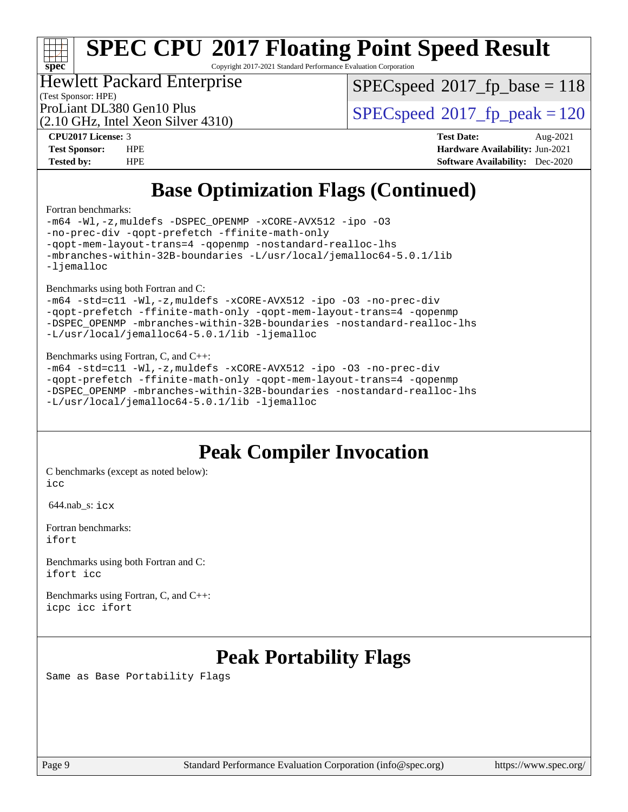# **[spec](http://www.spec.org/)**

# **[SPEC CPU](http://www.spec.org/auto/cpu2017/Docs/result-fields.html#SPECCPU2017FloatingPointSpeedResult)[2017 Floating Point Speed Result](http://www.spec.org/auto/cpu2017/Docs/result-fields.html#SPECCPU2017FloatingPointSpeedResult)**

Copyright 2017-2021 Standard Performance Evaluation Corporation

## Hewlett Packard Enterprise

[SPECspeed](http://www.spec.org/auto/cpu2017/Docs/result-fields.html#SPECspeed2017fpbase)<sup>®</sup>2017 fp base = 118

(Test Sponsor: HPE) (2.10 GHz, Intel Xeon Silver 4310)

ProLiant DL380 Gen10 Plus  $\begin{array}{|l|}\n\hline\n\text{SPEC speed} \text{°2017}\n\hline\n\text{p peak} = 120\n\hline\n\end{array}$ 

**[CPU2017 License:](http://www.spec.org/auto/cpu2017/Docs/result-fields.html#CPU2017License)** 3 **[Test Date:](http://www.spec.org/auto/cpu2017/Docs/result-fields.html#TestDate)** Aug-2021 **[Test Sponsor:](http://www.spec.org/auto/cpu2017/Docs/result-fields.html#TestSponsor)** HPE **[Hardware Availability:](http://www.spec.org/auto/cpu2017/Docs/result-fields.html#HardwareAvailability)** Jun-2021 **[Tested by:](http://www.spec.org/auto/cpu2017/Docs/result-fields.html#Testedby)** HPE **[Software Availability:](http://www.spec.org/auto/cpu2017/Docs/result-fields.html#SoftwareAvailability)** Dec-2020

## **[Base Optimization Flags \(Continued\)](http://www.spec.org/auto/cpu2017/Docs/result-fields.html#BaseOptimizationFlags)**

[Fortran benchmarks](http://www.spec.org/auto/cpu2017/Docs/result-fields.html#Fortranbenchmarks):

[-m64](http://www.spec.org/cpu2017/results/res2021q3/cpu2017-20210830-29051.flags.html#user_FCbase_m64-icc) [-Wl,-z,muldefs](http://www.spec.org/cpu2017/results/res2021q3/cpu2017-20210830-29051.flags.html#user_FCbase_link_force_multiple1_b4cbdb97b34bdee9ceefcfe54f4c8ea74255f0b02a4b23e853cdb0e18eb4525ac79b5a88067c842dd0ee6996c24547a27a4b99331201badda8798ef8a743f577) [-DSPEC\\_OPENMP](http://www.spec.org/cpu2017/results/res2021q3/cpu2017-20210830-29051.flags.html#suite_FCbase_DSPEC_OPENMP) [-xCORE-AVX512](http://www.spec.org/cpu2017/results/res2021q3/cpu2017-20210830-29051.flags.html#user_FCbase_f-xCORE-AVX512) [-ipo](http://www.spec.org/cpu2017/results/res2021q3/cpu2017-20210830-29051.flags.html#user_FCbase_f-ipo) [-O3](http://www.spec.org/cpu2017/results/res2021q3/cpu2017-20210830-29051.flags.html#user_FCbase_f-O3) [-no-prec-div](http://www.spec.org/cpu2017/results/res2021q3/cpu2017-20210830-29051.flags.html#user_FCbase_f-no-prec-div) [-qopt-prefetch](http://www.spec.org/cpu2017/results/res2021q3/cpu2017-20210830-29051.flags.html#user_FCbase_f-qopt-prefetch) [-ffinite-math-only](http://www.spec.org/cpu2017/results/res2021q3/cpu2017-20210830-29051.flags.html#user_FCbase_f_finite_math_only_cb91587bd2077682c4b38af759c288ed7c732db004271a9512da14a4f8007909a5f1427ecbf1a0fb78ff2a814402c6114ac565ca162485bbcae155b5e4258871) [-qopt-mem-layout-trans=4](http://www.spec.org/cpu2017/results/res2021q3/cpu2017-20210830-29051.flags.html#user_FCbase_f-qopt-mem-layout-trans_fa39e755916c150a61361b7846f310bcdf6f04e385ef281cadf3647acec3f0ae266d1a1d22d972a7087a248fd4e6ca390a3634700869573d231a252c784941a8) [-qopenmp](http://www.spec.org/cpu2017/results/res2021q3/cpu2017-20210830-29051.flags.html#user_FCbase_qopenmp_16be0c44f24f464004c6784a7acb94aca937f053568ce72f94b139a11c7c168634a55f6653758ddd83bcf7b8463e8028bb0b48b77bcddc6b78d5d95bb1df2967) [-nostandard-realloc-lhs](http://www.spec.org/cpu2017/results/res2021q3/cpu2017-20210830-29051.flags.html#user_FCbase_f_2003_std_realloc_82b4557e90729c0f113870c07e44d33d6f5a304b4f63d4c15d2d0f1fab99f5daaed73bdb9275d9ae411527f28b936061aa8b9c8f2d63842963b95c9dd6426b8a) [-mbranches-within-32B-boundaries](http://www.spec.org/cpu2017/results/res2021q3/cpu2017-20210830-29051.flags.html#user_FCbase_f-mbranches-within-32B-boundaries) [-L/usr/local/jemalloc64-5.0.1/lib](http://www.spec.org/cpu2017/results/res2021q3/cpu2017-20210830-29051.flags.html#user_FCbase_jemalloc_link_path64_1_cc289568b1a6c0fd3b62c91b824c27fcb5af5e8098e6ad028160d21144ef1b8aef3170d2acf0bee98a8da324cfe4f67d0a3d0c4cc4673d993d694dc2a0df248b) [-ljemalloc](http://www.spec.org/cpu2017/results/res2021q3/cpu2017-20210830-29051.flags.html#user_FCbase_jemalloc_link_lib_d1249b907c500fa1c0672f44f562e3d0f79738ae9e3c4a9c376d49f265a04b9c99b167ecedbf6711b3085be911c67ff61f150a17b3472be731631ba4d0471706)

[Benchmarks using both Fortran and C](http://www.spec.org/auto/cpu2017/Docs/result-fields.html#BenchmarksusingbothFortranandC):

```
-m64 -std=c11 -Wl,-z,muldefs -xCORE-AVX512 -ipo -O3 -no-prec-div
-qopt-prefetch -ffinite-math-only -qopt-mem-layout-trans=4 -qopenmp
-DSPEC_OPENMP -mbranches-within-32B-boundaries -nostandard-realloc-lhs
-L/usr/local/jemalloc64-5.0.1/lib -ljemalloc
```
#### [Benchmarks using Fortran, C, and C++:](http://www.spec.org/auto/cpu2017/Docs/result-fields.html#BenchmarksusingFortranCandCXX)

```
-m64 -std=c11 -Wl,-z,muldefs -xCORE-AVX512 -ipo -O3 -no-prec-div
-qopt-prefetch -ffinite-math-only -qopt-mem-layout-trans=4 -qopenmp
-DSPEC_OPENMP -mbranches-within-32B-boundaries -nostandard-realloc-lhs
-L/usr/local/jemalloc64-5.0.1/lib -ljemalloc
```
## **[Peak Compiler Invocation](http://www.spec.org/auto/cpu2017/Docs/result-fields.html#PeakCompilerInvocation)**

[C benchmarks \(except as noted below\)](http://www.spec.org/auto/cpu2017/Docs/result-fields.html#Cbenchmarksexceptasnotedbelow): [icc](http://www.spec.org/cpu2017/results/res2021q3/cpu2017-20210830-29051.flags.html#user_CCpeak_intel_icc_66fc1ee009f7361af1fbd72ca7dcefbb700085f36577c54f309893dd4ec40d12360134090235512931783d35fd58c0460139e722d5067c5574d8eaf2b3e37e92)

644.nab\_s: [icx](http://www.spec.org/cpu2017/results/res2021q3/cpu2017-20210830-29051.flags.html#user_peakCCLD644_nab_s_intel_icx_fe2d28d19ae2a5db7c42fe0f2a2aed77cb715edd4aeb23434404a8be6683fe239869bb6ca8154ca98265c2e3b9226a719a0efe2953a4a7018c379b7010ccf087)

[Fortran benchmarks](http://www.spec.org/auto/cpu2017/Docs/result-fields.html#Fortranbenchmarks): [ifort](http://www.spec.org/cpu2017/results/res2021q3/cpu2017-20210830-29051.flags.html#user_FCpeak_intel_ifort_8111460550e3ca792625aed983ce982f94888b8b503583aa7ba2b8303487b4d8a21a13e7191a45c5fd58ff318f48f9492884d4413fa793fd88dd292cad7027ca)

[Benchmarks using both Fortran and C](http://www.spec.org/auto/cpu2017/Docs/result-fields.html#BenchmarksusingbothFortranandC): [ifort](http://www.spec.org/cpu2017/results/res2021q3/cpu2017-20210830-29051.flags.html#user_CC_FCpeak_intel_ifort_8111460550e3ca792625aed983ce982f94888b8b503583aa7ba2b8303487b4d8a21a13e7191a45c5fd58ff318f48f9492884d4413fa793fd88dd292cad7027ca) [icc](http://www.spec.org/cpu2017/results/res2021q3/cpu2017-20210830-29051.flags.html#user_CC_FCpeak_intel_icc_66fc1ee009f7361af1fbd72ca7dcefbb700085f36577c54f309893dd4ec40d12360134090235512931783d35fd58c0460139e722d5067c5574d8eaf2b3e37e92)

[Benchmarks using Fortran, C, and C++:](http://www.spec.org/auto/cpu2017/Docs/result-fields.html#BenchmarksusingFortranCandCXX) [icpc](http://www.spec.org/cpu2017/results/res2021q3/cpu2017-20210830-29051.flags.html#user_CC_CXX_FCpeak_intel_icpc_c510b6838c7f56d33e37e94d029a35b4a7bccf4766a728ee175e80a419847e808290a9b78be685c44ab727ea267ec2f070ec5dc83b407c0218cded6866a35d07) [icc](http://www.spec.org/cpu2017/results/res2021q3/cpu2017-20210830-29051.flags.html#user_CC_CXX_FCpeak_intel_icc_66fc1ee009f7361af1fbd72ca7dcefbb700085f36577c54f309893dd4ec40d12360134090235512931783d35fd58c0460139e722d5067c5574d8eaf2b3e37e92) [ifort](http://www.spec.org/cpu2017/results/res2021q3/cpu2017-20210830-29051.flags.html#user_CC_CXX_FCpeak_intel_ifort_8111460550e3ca792625aed983ce982f94888b8b503583aa7ba2b8303487b4d8a21a13e7191a45c5fd58ff318f48f9492884d4413fa793fd88dd292cad7027ca)

## **[Peak Portability Flags](http://www.spec.org/auto/cpu2017/Docs/result-fields.html#PeakPortabilityFlags)**

Same as Base Portability Flags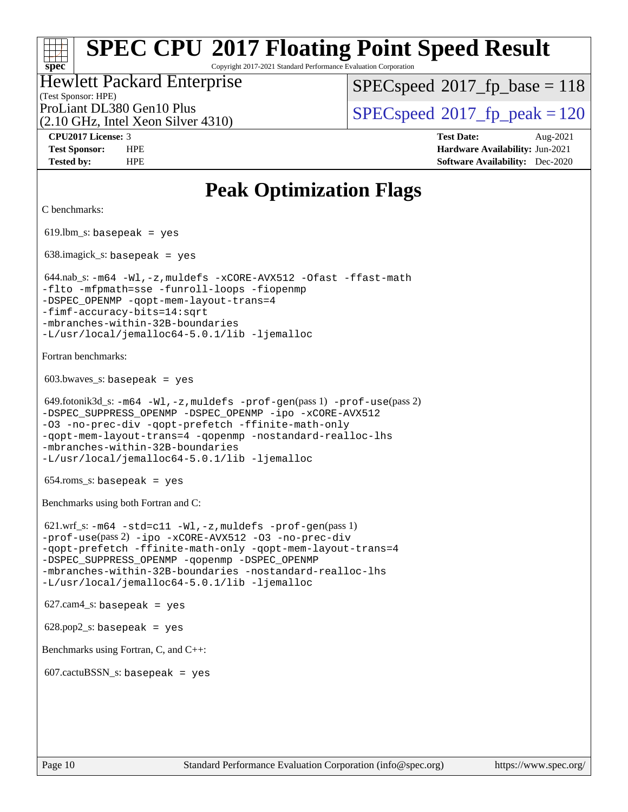Copyright 2017-2021 Standard Performance Evaluation Corporation

#### (Test Sponsor: HPE) Hewlett Packard Enterprise

[SPECspeed](http://www.spec.org/auto/cpu2017/Docs/result-fields.html#SPECspeed2017fpbase)<sup>®</sup>2017 fp base = 118

(2.10 GHz, Intel Xeon Silver 4310)

ProLiant DL380 Gen10 Plus  $\vert$  [SPECspeed](http://www.spec.org/auto/cpu2017/Docs/result-fields.html#SPECspeed2017fppeak)®2017 fp\_peak = 120

**[spec](http://www.spec.org/)**

**[CPU2017 License:](http://www.spec.org/auto/cpu2017/Docs/result-fields.html#CPU2017License)** 3 **[Test Date:](http://www.spec.org/auto/cpu2017/Docs/result-fields.html#TestDate)** Aug-2021 **[Test Sponsor:](http://www.spec.org/auto/cpu2017/Docs/result-fields.html#TestSponsor)** HPE **[Hardware Availability:](http://www.spec.org/auto/cpu2017/Docs/result-fields.html#HardwareAvailability)** Jun-2021 **[Tested by:](http://www.spec.org/auto/cpu2017/Docs/result-fields.html#Testedby)** HPE **[Software Availability:](http://www.spec.org/auto/cpu2017/Docs/result-fields.html#SoftwareAvailability)** Dec-2020

## **[Peak Optimization Flags](http://www.spec.org/auto/cpu2017/Docs/result-fields.html#PeakOptimizationFlags)**

```
C benchmarks: 
619.lbm_s: basepeak = yes
 638.imagick_s: basepeak = yes
 644.nab_s: -m64 -Wl,-z,muldefs -xCORE-AVX512 -Ofast -ffast-math
-flto -mfpmath=sse -funroll-loops -fiopenmp
-qopt-mem-layout-trans=4
-fimf-accuracy-bits=14:sqrt
-mbranches-within-32B-boundaries
-L/usr/local/jemalloc64-5.0.1/lib -ljemalloc
Fortran benchmarks: 
603.bwaves s: basepeak = yes
 649.fotonik3d_s: -m64 -Wl,-z,muldefs -prof-gen(pass 1) -prof-use(pass 2)
-ipo-xCORE-AVX512
-O3 -no-prec-div -qopt-prefetch -ffinite-math-only
-qopt-mem-layout-trans=4 -qopenmp -nostandard-realloc-lhs
-mbranches-within-32B-boundaries
-L/usr/local/jemalloc64-5.0.1/lib -ljemalloc
654.roms_s: basepeak = yes
Benchmarks using both Fortran and C: 
 621.wrf_s: -m64 -std=c11 -Wl,-z,muldefs -prof-gen(pass 1)
-prof-use(pass 2) -ipo -xCORE-AVX512 -O3 -no-prec-div
-qopt-prefetch -ffinite-math-only -qopt-mem-layout-trans=4
-DSPEC_SUPPRESS_OPENMP -qopenmp -DSPEC_OPENMP
-mbranches-within-32B-boundaries -nostandard-realloc-lhs
-L/usr/local/jemalloc64-5.0.1/lib -ljemalloc
627.cam4<sub>-</sub>s: basepeak = yes
628.pop2_s: basepeak = yes
Benchmarks using Fortran, C, and C++: 
607.cactuBSSN_s: basepeak = yes
```